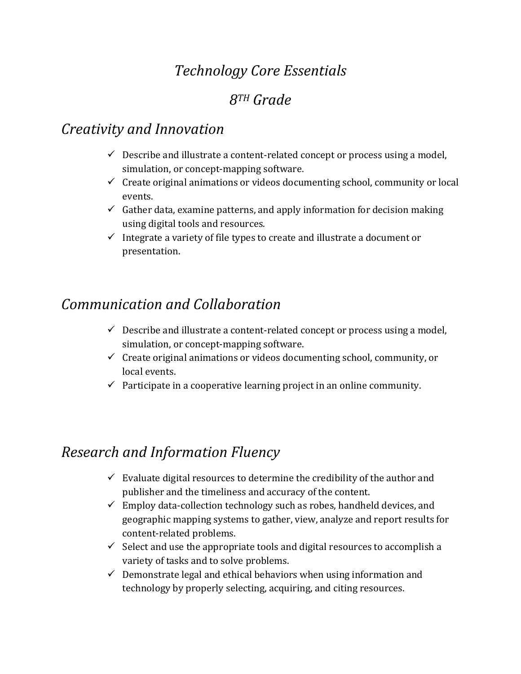# *Technology Core Essentials*

## *8TH Grade*

#### *Creativity and Innovation*

- $\checkmark$  Describe and illustrate a content-related concept or process using a model, simulation, or concept-mapping software.
- $\checkmark$  Create original animations or videos documenting school, community or local events.
- $\checkmark$  Gather data, examine patterns, and apply information for decision making using digital tools and resources.
- $\checkmark$  Integrate a variety of file types to create and illustrate a document or presentation.

# *Communication and Collaboration*

- $\checkmark$  Describe and illustrate a content-related concept or process using a model, simulation, or concept-mapping software.
- $\checkmark$  Create original animations or videos documenting school, community, or local events.
- $\checkmark$  Participate in a cooperative learning project in an online community.

## *Research and Information Fluency*

- $\checkmark$  Evaluate digital resources to determine the credibility of the author and publisher and the timeliness and accuracy of the content.
- $\checkmark$  Employ data-collection technology such as robes, handheld devices, and geographic mapping systems to gather, view, analyze and report results for content-related problems.
- $\checkmark$  Select and use the appropriate tools and digital resources to accomplish a variety of tasks and to solve problems.
- $\checkmark$  Demonstrate legal and ethical behaviors when using information and technology by properly selecting, acquiring, and citing resources.